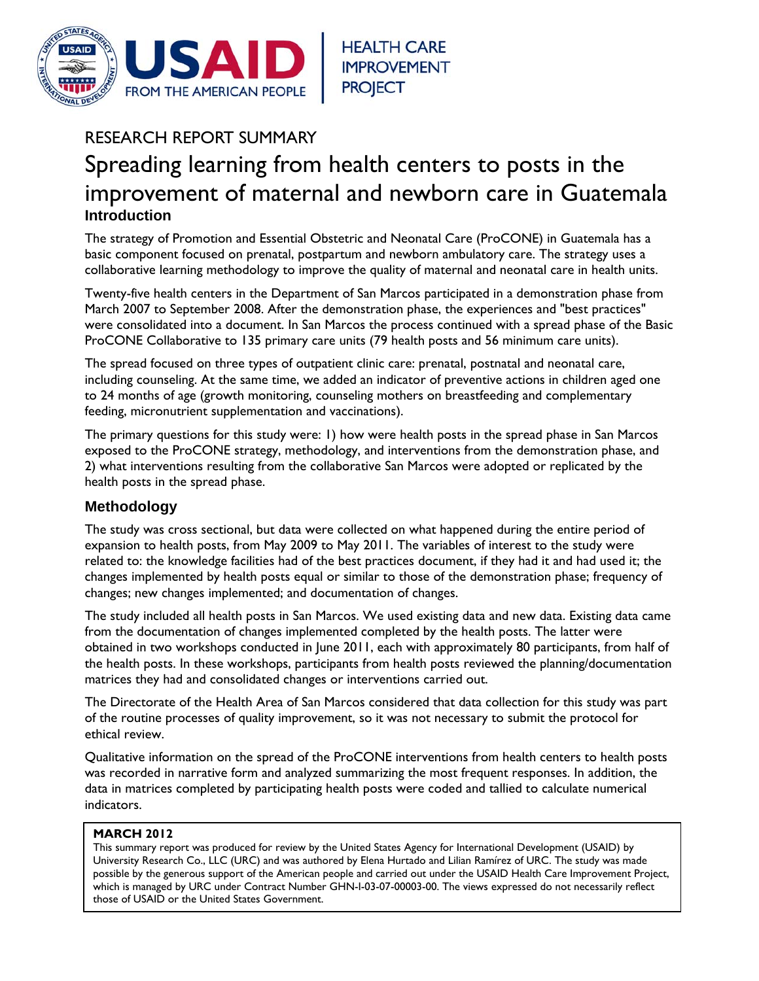

# RESEARCH REPORT SUMMARY Spreading learning from health centers to posts in the improvement of maternal and newborn care in Guatemala **Introduction**

The strategy of Promotion and Essential Obstetric and Neonatal Care (ProCONE) in Guatemala has a basic component focused on prenatal, postpartum and newborn ambulatory care. The strategy uses a collaborative learning methodology to improve the quality of maternal and neonatal care in health units.

Twenty-five health centers in the Department of San Marcos participated in a demonstration phase from March 2007 to September 2008. After the demonstration phase, the experiences and "best practices" were consolidated into a document. In San Marcos the process continued with a spread phase of the Basic ProCONE Collaborative to 135 primary care units (79 health posts and 56 minimum care units).

The spread focused on three types of outpatient clinic care: prenatal, postnatal and neonatal care, including counseling. At the same time, we added an indicator of preventive actions in children aged one to 24 months of age (growth monitoring, counseling mothers on breastfeeding and complementary feeding, micronutrient supplementation and vaccinations).

The primary questions for this study were: 1) how were health posts in the spread phase in San Marcos exposed to the ProCONE strategy, methodology, and interventions from the demonstration phase, and 2) what interventions resulting from the collaborative San Marcos were adopted or replicated by the health posts in the spread phase.

## **Methodology**

The study was cross sectional, but data were collected on what happened during the entire period of expansion to health posts, from May 2009 to May 2011. The variables of interest to the study were related to: the knowledge facilities had of the best practices document, if they had it and had used it; the changes implemented by health posts equal or similar to those of the demonstration phase; frequency of changes; new changes implemented; and documentation of changes.

The study included all health posts in San Marcos. We used existing data and new data. Existing data came from the documentation of changes implemented completed by the health posts. The latter were obtained in two workshops conducted in June 2011, each with approximately 80 participants, from half of the health posts. In these workshops, participants from health posts reviewed the planning/documentation matrices they had and consolidated changes or interventions carried out.

The Directorate of the Health Area of San Marcos considered that data collection for this study was part of the routine processes of quality improvement, so it was not necessary to submit the protocol for ethical review.

Qualitative information on the spread of the ProCONE interventions from health centers to health posts was recorded in narrative form and analyzed summarizing the most frequent responses. In addition, the data in matrices completed by participating health posts were coded and tallied to calculate numerical indicators.

## **MARCH 2012**

This summary report was produced for review by the United States Agency for International Development (USAID) by University Research Co., LLC (URC) and was authored by Elena Hurtado and Lilian Ramírez of URC. The study was made possible by the generous support of the American people and carried out under the USAID Health Care Improvement Project, which is managed by URC under Contract Number GHN-I-03-07-00003-00. The views expressed do not necessarily reflect those of USAID or the United States Government.